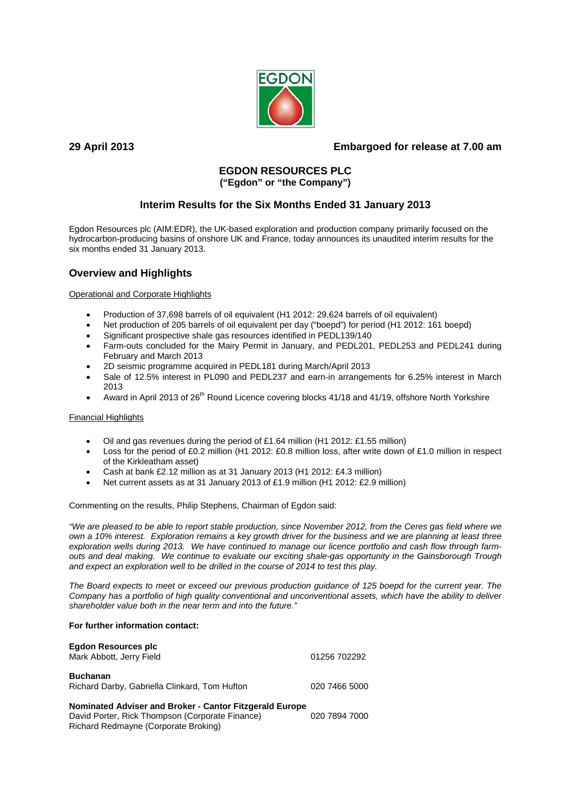

# **29 April 2013 Embargoed for release at 7.00 am**

## **EGDON RESOURCES PLC ("Egdon" or "the Company")**

# **Interim Results for the Six Months Ended 31 January 2013**

Egdon Resources plc (AIM:EDR), the UK-based exploration and production company primarily focused on the hydrocarbon-producing basins of onshore UK and France, today announces its unaudited interim results for the six months ended 31 January 2013.

# **Overview and Highlights**

## Operational and Corporate Highlights

- Production of 37,698 barrels of oil equivalent (H1 2012: 29,624 barrels of oil equivalent)
- Net production of 205 barrels of oil equivalent per day ("boepd") for period (H1 2012: 161 boepd)
- Significant prospective shale gas resources identified in PEDL139/140
- Farm-outs concluded for the Mairy Permit in January, and PEDL201, PEDL253 and PEDL241 during February and March 2013
- 2D seismic programme acquired in PEDL181 during March/April 2013
- Sale of 12.5% interest in PL090 and PEDL237 and earn-in arrangements for 6.25% interest in March 2013
- Award in April 2013 of 26<sup>th</sup> Round Licence covering blocks 41/18 and 41/19, offshore North Yorkshire

## Financial Highlights

- Oil and gas revenues during the period of £1.64 million (H1 2012: £1.55 million)
- Loss for the period of £0.2 million (H1 2012: £0.8 million loss, after write down of £1.0 million in respect of the Kirkleatham asset)
- Cash at bank £2.12 million as at 31 January 2013 (H1 2012: £4.3 million)
- Net current assets as at 31 January 2013 of £1.9 million (H1 2012: £2.9 million)

Commenting on the results, Philip Stephens, Chairman of Egdon said:

*"We are pleased to be able to report stable production, since November 2012, from the Ceres gas field where we own a 10% interest. Exploration remains a key growth driver for the business and we are planning at least three exploration wells during 2013. We have continued to manage our licence portfolio and cash flow through farmouts and deal making. We continue to evaluate our exciting shale-gas opportunity in the Gainsborough Trough and expect an exploration well to be drilled in the course of 2014 to test this play.* 

*The Board expects to meet or exceed our previous production guidance of 125 boepd for the current year. The Company has a portfolio of high quality conventional and unconventional assets, which have the ability to deliver shareholder value both in the near term and into the future."* 

## **For further information contact:**

| <b>Egdon Resources plc</b><br>Mark Abbott, Jerry Field                                                                                             | 01256 702292  |
|----------------------------------------------------------------------------------------------------------------------------------------------------|---------------|
| <b>Buchanan</b><br>Richard Darby, Gabriella Clinkard, Tom Hufton                                                                                   | 020 7466 5000 |
| Nominated Adviser and Broker - Cantor Fitzgerald Europe<br>David Porter, Rick Thompson (Corporate Finance)<br>Richard Redmayne (Corporate Broking) | 020 7894 7000 |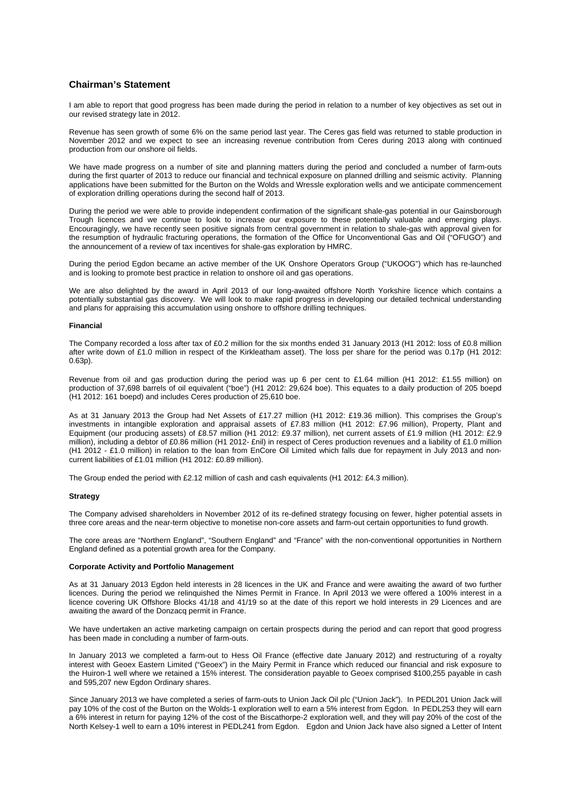### **Chairman's Statement**

I am able to report that good progress has been made during the period in relation to a number of key objectives as set out in our revised strategy late in 2012.

Revenue has seen growth of some 6% on the same period last year. The Ceres gas field was returned to stable production in November 2012 and we expect to see an increasing revenue contribution from Ceres during 2013 along with continued production from our onshore oil fields.

We have made progress on a number of site and planning matters during the period and concluded a number of farm-outs during the first quarter of 2013 to reduce our financial and technical exposure on planned drilling and seismic activity. Planning applications have been submitted for the Burton on the Wolds and Wressle exploration wells and we anticipate commencement of exploration drilling operations during the second half of 2013.

During the period we were able to provide independent confirmation of the significant shale-gas potential in our Gainsborough Trough licences and we continue to look to increase our exposure to these potentially valuable and emerging plays. Encouragingly, we have recently seen positive signals from central government in relation to shale-gas with approval given for the resumption of hydraulic fracturing operations, the formation of the Office for Unconventional Gas and Oil ("OFUGO") and the announcement of a review of tax incentives for shale-gas exploration by HMRC.

During the period Egdon became an active member of the UK Onshore Operators Group ("UKOOG") which has re-launched and is looking to promote best practice in relation to onshore oil and gas operations.

We are also delighted by the award in April 2013 of our long-awaited offshore North Yorkshire licence which contains a potentially substantial gas discovery. We will look to make rapid progress in developing our detailed technical understanding and plans for appraising this accumulation using onshore to offshore drilling techniques.

#### **Financial**

The Company recorded a loss after tax of £0.2 million for the six months ended 31 January 2013 (H1 2012: loss of £0.8 million after write down of £1.0 million in respect of the Kirkleatham asset). The loss per share for the period was 0.17p (H1 2012: 0.63p).

Revenue from oil and gas production during the period was up 6 per cent to £1.64 million (H1 2012: £1.55 million) on production of 37,698 barrels of oil equivalent ("boe") (H1 2012: 29,624 boe). This equates to a daily production of 205 boepd (H1 2012: 161 boepd) and includes Ceres production of 25,610 boe.

As at 31 January 2013 the Group had Net Assets of £17.27 million (H1 2012: £19.36 million). This comprises the Group's investments in intangible exploration and appraisal assets of £7.83 million (H1 2012: £7.96 million), Property, Plant and Equipment (our producing assets) of £8.57 million (H1 2012: £9.37 million), net current assets of £1.9 million (H1 2012: £2.9 million), including a debtor of £0.86 million (H1 2012- £nil) in respect of Ceres production revenues and a liability of £1.0 million (H1 2012 - £1.0 million) in relation to the loan from EnCore Oil Limited which falls due for repayment in July 2013 and noncurrent liabilities of £1.01 million (H1 2012: £0.89 million).

The Group ended the period with £2.12 million of cash and cash equivalents (H1 2012: £4.3 million).

#### **Strategy**

The Company advised shareholders in November 2012 of its re-defined strategy focusing on fewer, higher potential assets in three core areas and the near-term objective to monetise non-core assets and farm-out certain opportunities to fund growth.

The core areas are "Northern England", "Southern England" and "France" with the non-conventional opportunities in Northern England defined as a potential growth area for the Company.

#### **Corporate Activity and Portfolio Management**

As at 31 January 2013 Egdon held interests in 28 licences in the UK and France and were awaiting the award of two further licences. During the period we relinquished the Nimes Permit in France. In April 2013 we were offered a 100% interest in a licence covering UK Offshore Blocks 41/18 and 41/19 so at the date of this report we hold interests in 29 Licences and are awaiting the award of the Donzacq permit in France.

We have undertaken an active marketing campaign on certain prospects during the period and can report that good progress has been made in concluding a number of farm-outs.

In January 2013 we completed a farm-out to Hess Oil France (effective date January 2012) and restructuring of a royalty interest with Geoex Eastern Limited ("Geoex") in the Mairy Permit in France which reduced our financial and risk exposure to the Huiron-1 well where we retained a 15% interest. The consideration payable to Geoex comprised \$100,255 payable in cash and 595,207 new Egdon Ordinary shares.

Since January 2013 we have completed a series of farm-outs to Union Jack Oil plc ("Union Jack"). In PEDL201 Union Jack will pay 10% of the cost of the Burton on the Wolds-1 exploration well to earn a 5% interest from Egdon. In PEDL253 they will earn a 6% interest in return for paying 12% of the cost of the Biscathorpe-2 exploration well, and they will pay 20% of the cost of the North Kelsey-1 well to earn a 10% interest in PEDL241 from Egdon. Egdon and Union Jack have also signed a Letter of Intent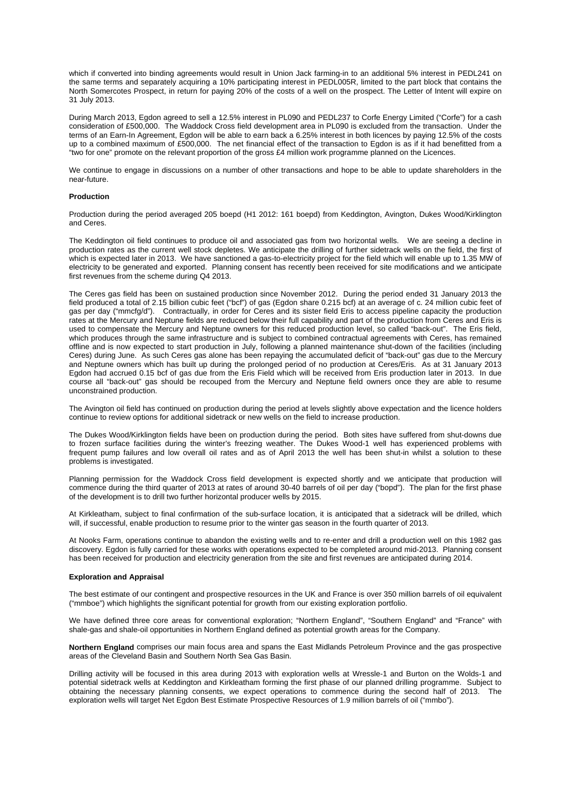which if converted into binding agreements would result in Union Jack farming-in to an additional 5% interest in PEDL241 on the same terms and separately acquiring a 10% participating interest in PEDL005R, limited to the part block that contains the North Somercotes Prospect, in return for paying 20% of the costs of a well on the prospect. The Letter of Intent will expire on 31 July 2013.

During March 2013, Egdon agreed to sell a 12.5% interest in PL090 and PEDL237 to Corfe Energy Limited ("Corfe") for a cash consideration of £500,000. The Waddock Cross field development area in PL090 is excluded from the transaction. Under the terms of an Earn-In Agreement, Egdon will be able to earn back a 6.25% interest in both licences by paying 12.5% of the costs up to a combined maximum of £500,000. The net financial effect of the transaction to Egdon is as if it had benefitted from a "two for one" promote on the relevant proportion of the gross £4 million work programme planned on the Licences.

We continue to engage in discussions on a number of other transactions and hope to be able to update shareholders in the near-future.

### **Production**

Production during the period averaged 205 boepd (H1 2012: 161 boepd) from Keddington, Avington, Dukes Wood/Kirklington and Ceres.

The Keddington oil field continues to produce oil and associated gas from two horizontal wells. We are seeing a decline in production rates as the current well stock depletes. We anticipate the drilling of further sidetrack wells on the field, the first of which is expected later in 2013. We have sanctioned a gas-to-electricity project for the field which will enable up to 1.35 MW of electricity to be generated and exported. Planning consent has recently been received for site modifications and we anticipate first revenues from the scheme during Q4 2013.

The Ceres gas field has been on sustained production since November 2012. During the period ended 31 January 2013 the field produced a total of 2.15 billion cubic feet ("bcf") of gas (Egdon share 0.215 bcf) at an average of c. 24 million cubic feet of gas per day ("mmcfg/d"). Contractually, in order for Ceres and its sister field Eris to access pipeline capacity the production rates at the Mercury and Neptune fields are reduced below their full capability and part of the production from Ceres and Eris is used to compensate the Mercury and Neptune owners for this reduced production level, so called "back-out". The Eris field, which produces through the same infrastructure and is subject to combined contractual agreements with Ceres, has remained offline and is now expected to start production in July, following a planned maintenance shut-down of the facilities (including Ceres) during June. As such Ceres gas alone has been repaying the accumulated deficit of "back-out" gas due to the Mercury and Neptune owners which has built up during the prolonged period of no production at Ceres/Eris. As at 31 January 2013 Egdon had accrued 0.15 bcf of gas due from the Eris Field which will be received from Eris production later in 2013. In due course all "back-out" gas should be recouped from the Mercury and Neptune field owners once they are able to resume unconstrained production.

The Avington oil field has continued on production during the period at levels slightly above expectation and the licence holders continue to review options for additional sidetrack or new wells on the field to increase production.

The Dukes Wood/Kirklington fields have been on production during the period. Both sites have suffered from shut-downs due to frozen surface facilities during the winter's freezing weather. The Dukes Wood-1 well has experienced problems with frequent pump failures and low overall oil rates and as of April 2013 the well has been shut-in whilst a solution to these problems is investigated.

Planning permission for the Waddock Cross field development is expected shortly and we anticipate that production will commence during the third quarter of 2013 at rates of around 30-40 barrels of oil per day ("bopd"). The plan for the first phase of the development is to drill two further horizontal producer wells by 2015.

At Kirkleatham, subject to final confirmation of the sub-surface location, it is anticipated that a sidetrack will be drilled, which will, if successful, enable production to resume prior to the winter gas season in the fourth quarter of 2013.

At Nooks Farm, operations continue to abandon the existing wells and to re-enter and drill a production well on this 1982 gas discovery. Egdon is fully carried for these works with operations expected to be completed around mid-2013. Planning consent has been received for production and electricity generation from the site and first revenues are anticipated during 2014.

#### **Exploration and Appraisal**

The best estimate of our contingent and prospective resources in the UK and France is over 350 million barrels of oil equivalent ("mmboe") which highlights the significant potential for growth from our existing exploration portfolio.

We have defined three core areas for conventional exploration; "Northern England", "Southern England" and "France" with shale-gas and shale-oil opportunities in Northern England defined as potential growth areas for the Company.

**Northern England** comprises our main focus area and spans the East Midlands Petroleum Province and the gas prospective areas of the Cleveland Basin and Southern North Sea Gas Basin.

Drilling activity will be focused in this area during 2013 with exploration wells at Wressle-1 and Burton on the Wolds-1 and potential sidetrack wells at Keddington and Kirkleatham forming the first phase of our planned drilling programme. Subject to obtaining the necessary planning consents, we expect operations to commence during the second half of 2013. The exploration wells will target Net Egdon Best Estimate Prospective Resources of 1.9 million barrels of oil ("mmbo").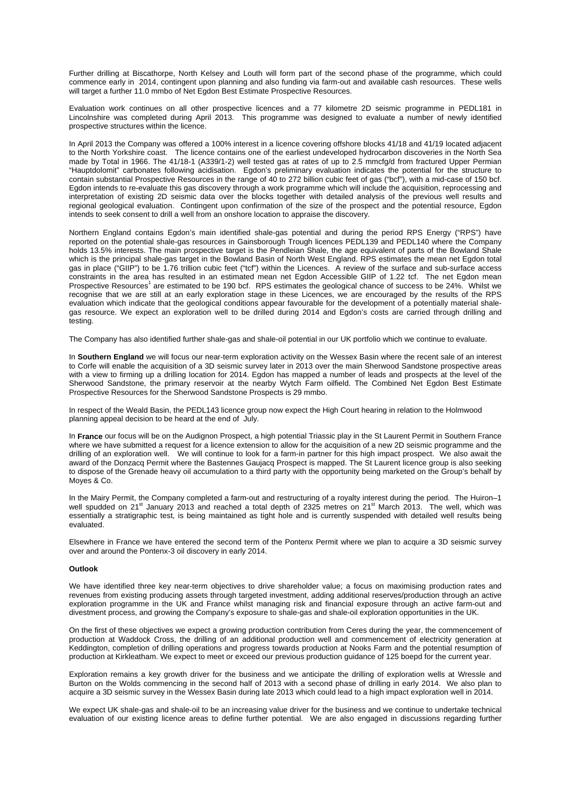Further drilling at Biscathorpe, North Kelsey and Louth will form part of the second phase of the programme, which could commence early in 2014, contingent upon planning and also funding via farm-out and available cash resources. These wells will target a further 11.0 mmbo of Net Egdon Best Estimate Prospective Resources.

Evaluation work continues on all other prospective licences and a 77 kilometre 2D seismic programme in PEDL181 in Lincolnshire was completed during April 2013. This programme was designed to evaluate a number of newly identified prospective structures within the licence.

In April 2013 the Company was offered a 100% interest in a licence covering offshore blocks 41/18 and 41/19 located adjacent to the North Yorkshire coast. The licence contains one of the earliest undeveloped hydrocarbon discoveries in the North Sea made by Total in 1966. The 41/18-1 (A339/1-2) well tested gas at rates of up to 2.5 mmcfg/d from fractured Upper Permian "Hauptdolomit" carbonates following acidisation. Egdon's preliminary evaluation indicates the potential for the structure to contain substantial Prospective Resources in the range of 40 to 272 billion cubic feet of gas ("bcf"), with a mid-case of 150 bcf. Egdon intends to re-evaluate this gas discovery through a work programme which will include the acquisition, reprocessing and interpretation of existing 2D seismic data over the blocks together with detailed analysis of the previous well results and regional geological evaluation. Contingent upon confirmation of the size of the prospect and the potential resource, Egdon intends to seek consent to drill a well from an onshore location to appraise the discovery.

Northern England contains Egdon's main identified shale-gas potential and during the period RPS Energy ("RPS") have reported on the potential shale-gas resources in Gainsborough Trough licences PEDL139 and PEDL140 where the Company holds 13.5% interests. The main prospective target is the Pendleian Shale, the age equivalent of parts of the Bowland Shale which is the principal shale-gas target in the Bowland Basin of North West England. RPS estimates the mean net Egdon total gas in place ("GIIP") to be 1.76 trillion cubic feet ("tcf") within the Licences. A review of the surface and sub-surface access constraints in the area has resulted in an estimated mean net Egdon Accessible GIIP of 1.22 tcf. The net Egdon mean Prospective Resources<sup>1</sup> are estimated to be 190 bcf. RPS estimates the geological chance of success to be 24%. Whilst we recognise that we are still at an early exploration stage in these Licences, we are encouraged by the results of the RPS evaluation which indicate that the geological conditions appear favourable for the development of a potentially material shalegas resource. We expect an exploration well to be drilled during 2014 and Egdon's costs are carried through drilling and testing.

The Company has also identified further shale-gas and shale-oil potential in our UK portfolio which we continue to evaluate.

In **Southern England** we will focus our near-term exploration activity on the Wessex Basin where the recent sale of an interest to Corfe will enable the acquisition of a 3D seismic survey later in 2013 over the main Sherwood Sandstone prospective areas with a view to firming up a drilling location for 2014. Egdon has mapped a number of leads and prospects at the level of the Sherwood Sandstone, the primary reservoir at the nearby Wytch Farm oilfield. The Combined Net Egdon Best Estimate Prospective Resources for the Sherwood Sandstone Prospects is 29 mmbo.

In respect of the Weald Basin, the PEDL143 licence group now expect the High Court hearing in relation to the Holmwood planning appeal decision to be heard at the end of July.

In **France** our focus will be on the Audignon Prospect, a high potential Triassic play in the St Laurent Permit in Southern France where we have submitted a request for a licence extension to allow for the acquisition of a new 2D seismic programme and the drilling of an exploration well. We will continue to look for a farm-in partner for this high impact prospect. We also await the award of the Donzacq Permit where the Bastennes Gaujacq Prospect is mapped. The St Laurent licence group is also seeking to dispose of the Grenade heavy oil accumulation to a third party with the opportunity being marketed on the Group's behalf by Moyes & Co.

In the Mairy Permit, the Company completed a farm-out and restructuring of a royalty interest during the period. The Huiron–1 well spudded on 21<sup>st</sup> January 2013 and reached a total depth of 2325 metres on 21<sup>st</sup> March 2013. The well, which was essentially a stratigraphic test, is being maintained as tight hole and is currently suspended with detailed well results being evaluated.

Elsewhere in France we have entered the second term of the Pontenx Permit where we plan to acquire a 3D seismic survey over and around the Pontenx-3 oil discovery in early 2014.

#### **Outlook**

We have identified three key near-term objectives to drive shareholder value; a focus on maximising production rates and revenues from existing producing assets through targeted investment, adding additional reserves/production through an active exploration programme in the UK and France whilst managing risk and financial exposure through an active farm-out and divestment process, and growing the Company's exposure to shale-gas and shale-oil exploration opportunities in the UK.

On the first of these objectives we expect a growing production contribution from Ceres during the year, the commencement of production at Waddock Cross, the drilling of an additional production well and commencement of electricity generation at Keddington, completion of drilling operations and progress towards production at Nooks Farm and the potential resumption of production at Kirkleatham. We expect to meet or exceed our previous production guidance of 125 boepd for the current year.

Exploration remains a key growth driver for the business and we anticipate the drilling of exploration wells at Wressle and Burton on the Wolds commencing in the second half of 2013 with a second phase of drilling in early 2014. We also plan to acquire a 3D seismic survey in the Wessex Basin during late 2013 which could lead to a high impact exploration well in 2014.

We expect UK shale-gas and shale-oil to be an increasing value driver for the business and we continue to undertake technical evaluation of our existing licence areas to define further potential. We are also engaged in discussions regarding further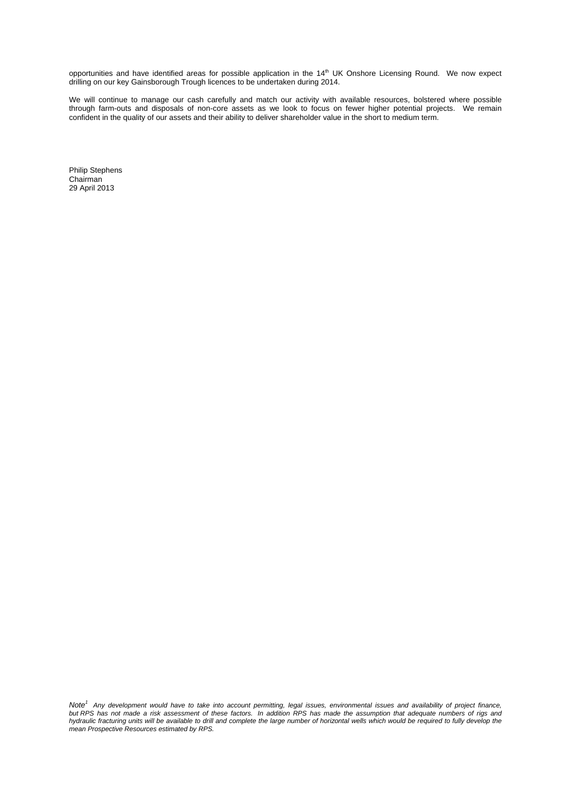opportunities and have identified areas for possible application in the  $14<sup>th</sup>$  UK Onshore Licensing Round. We now expect drilling on our key Gainsborough Trough licences to be undertaken during 2014.

We will continue to manage our cash carefully and match our activity with available resources, bolstered where possible through farm-outs and disposals of non-core assets as we look to focus on fewer higher potential projects. We remain confident in the quality of our assets and their ability to deliver shareholder value in the short to medium term.

Philip Stephens Chairman 29 April 2013

*Note1 Any development would have to take into account permitting, legal issues, environmental issues and availability of project finance, but RPS has not made a risk assessment of these factors. In addition RPS has made the assumption that adequate numbers of rigs and hydraulic fracturing units will be available to drill and complete the large number of horizontal wells which would be required to fully develop the mean Prospective Resources estimated by RPS.*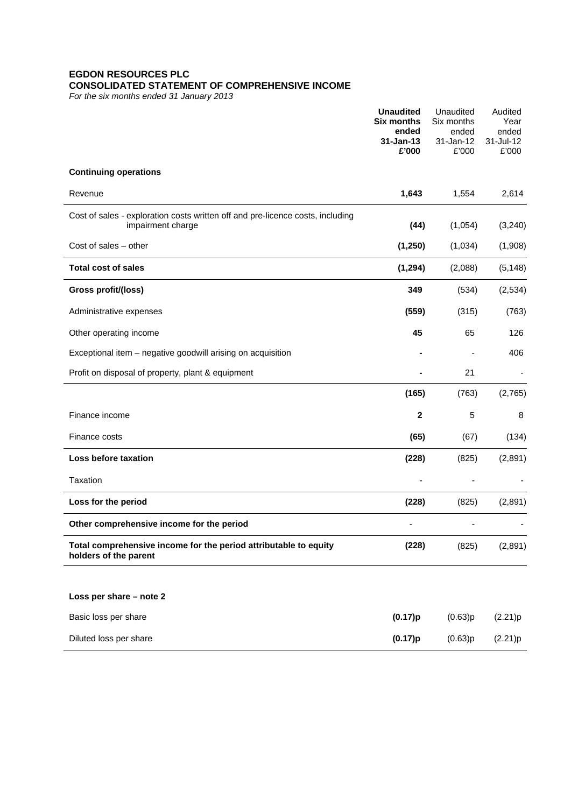## **EGDON RESOURCES PLC CONSOLIDATED STATEMENT OF COMPREHENSIVE INCOME**

*For the six months ended 31 January 2013*

|                                                                                                     | <b>Unaudited</b><br><b>Six months</b><br>ended<br>$31 - Jan-13$<br>£'000 | Unaudited<br>Six months<br>ended<br>31-Jan-12<br>£'000 | Audited<br>Year<br>ended<br>31-Jul-12<br>£'000 |
|-----------------------------------------------------------------------------------------------------|--------------------------------------------------------------------------|--------------------------------------------------------|------------------------------------------------|
| <b>Continuing operations</b>                                                                        |                                                                          |                                                        |                                                |
| Revenue                                                                                             | 1,643                                                                    | 1,554                                                  | 2,614                                          |
| Cost of sales - exploration costs written off and pre-licence costs, including<br>impairment charge | (44)                                                                     | (1,054)                                                | (3,240)                                        |
| Cost of sales - other                                                                               | (1, 250)                                                                 | (1,034)                                                | (1,908)                                        |
| <b>Total cost of sales</b>                                                                          | (1, 294)                                                                 | (2,088)                                                | (5, 148)                                       |
| Gross profit/(loss)                                                                                 | 349                                                                      | (534)                                                  | (2,534)                                        |
| Administrative expenses                                                                             | (559)                                                                    | (315)                                                  | (763)                                          |
| Other operating income                                                                              | 45                                                                       | 65                                                     | 126                                            |
| Exceptional item - negative goodwill arising on acquisition                                         |                                                                          |                                                        | 406                                            |
| Profit on disposal of property, plant & equipment                                                   |                                                                          | 21                                                     |                                                |
|                                                                                                     | (165)                                                                    | (763)                                                  | (2,765)                                        |
| Finance income                                                                                      | $\mathbf{2}$                                                             | 5                                                      | 8                                              |
| Finance costs                                                                                       | (65)                                                                     | (67)                                                   | (134)                                          |
| Loss before taxation                                                                                | (228)                                                                    | (825)                                                  | (2,891)                                        |
| Taxation                                                                                            |                                                                          |                                                        |                                                |
| Loss for the period                                                                                 | (228)                                                                    | (825)                                                  | (2,891)                                        |
| Other comprehensive income for the period                                                           |                                                                          |                                                        |                                                |
| Total comprehensive income for the period attributable to equity<br>holders of the parent           | (228)                                                                    | (825)                                                  | (2,891)                                        |
| Loss per share - note 2                                                                             |                                                                          |                                                        |                                                |
| Basic loss per share                                                                                | (0.17)p                                                                  | (0.63)p                                                | (2.21)p                                        |
| Diluted loss per share                                                                              | (0.17)p                                                                  | (0.63)p                                                | (2.21)p                                        |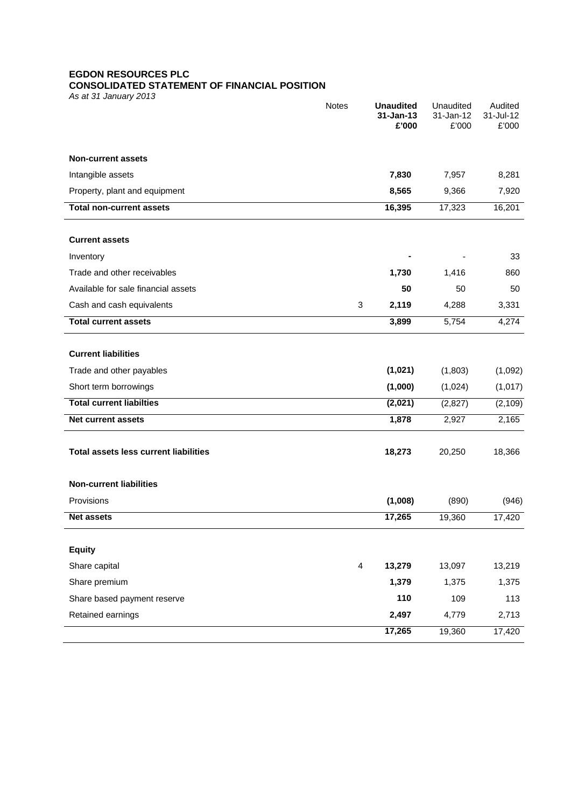## **EGDON RESOURCES PLC**

## **CONSOLIDATED STATEMENT OF FINANCIAL POSITION**

*As at 31 January 2013*

|                                              | Notes                   | <b>Unaudited</b><br>$31 - Jan-13$<br>£'000 | Unaudited<br>31-Jan-12<br>£'000 | Audited<br>31-Jul-12<br>£'000 |
|----------------------------------------------|-------------------------|--------------------------------------------|---------------------------------|-------------------------------|
| <b>Non-current assets</b>                    |                         |                                            |                                 |                               |
| Intangible assets                            |                         | 7,830                                      | 7,957                           | 8,281                         |
| Property, plant and equipment                |                         | 8,565                                      | 9,366                           | 7,920                         |
| <b>Total non-current assets</b>              |                         | 16,395                                     | 17,323                          | 16,201                        |
| <b>Current assets</b>                        |                         |                                            |                                 |                               |
| Inventory                                    |                         |                                            |                                 | 33                            |
| Trade and other receivables                  |                         | 1,730                                      | 1,416                           | 860                           |
| Available for sale financial assets          |                         | 50                                         | 50                              | 50                            |
| Cash and cash equivalents                    | 3                       | 2,119                                      | 4,288                           | 3,331                         |
| <b>Total current assets</b>                  |                         | 3,899                                      | 5,754                           | 4,274                         |
| <b>Current liabilities</b>                   |                         |                                            |                                 |                               |
| Trade and other payables                     |                         | (1,021)                                    | (1,803)                         | (1,092)                       |
| Short term borrowings                        |                         | (1,000)                                    | (1,024)                         | (1,017)                       |
| <b>Total current liabilties</b>              |                         | (2,021)                                    | (2,827)                         | (2, 109)                      |
| <b>Net current assets</b>                    |                         | 1,878                                      | 2,927                           | 2,165                         |
| <b>Total assets less current liabilities</b> |                         | 18,273                                     | 20,250                          | 18,366                        |
| <b>Non-current liabilities</b>               |                         |                                            |                                 |                               |
| Provisions                                   |                         | (1,008)                                    | (890)                           | (946)                         |
| <b>Net assets</b>                            |                         | 17,265                                     | 19,360                          | 17,420                        |
| <b>Equity</b>                                |                         |                                            |                                 |                               |
| Share capital                                | $\overline{\mathbf{4}}$ | 13,279                                     | 13,097                          | 13,219                        |
| Share premium                                |                         | 1,379                                      | 1,375                           | 1,375                         |
| Share based payment reserve                  |                         | 110                                        | 109                             | 113                           |
| Retained earnings                            |                         | 2,497                                      | 4,779                           | 2,713                         |
|                                              |                         | 17,265                                     | 19,360                          | 17,420                        |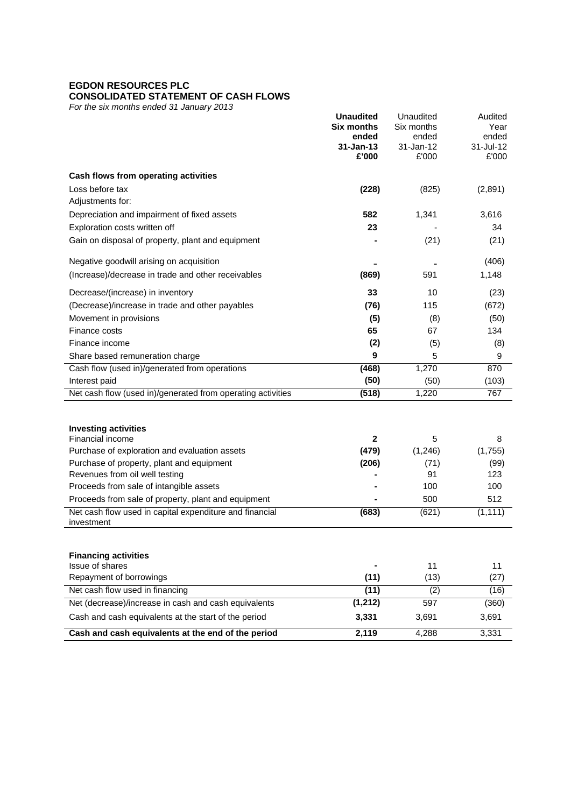# **EGDON RESOURCES PLC**

# **CONSOLIDATED STATEMENT OF CASH FLOWS**

*For the six months ended 31 January 2013*

|                                                                       | <b>Unaudited</b><br><b>Six months</b><br>ended<br>$31 - Jan-13$<br>£'000 | Unaudited<br>Six months<br>ended<br>31-Jan-12<br>£'000 | Audited<br>Year<br>ended<br>31-Jul-12<br>£'000 |
|-----------------------------------------------------------------------|--------------------------------------------------------------------------|--------------------------------------------------------|------------------------------------------------|
| Cash flows from operating activities                                  |                                                                          |                                                        |                                                |
| Loss before tax                                                       | (228)                                                                    | (825)                                                  | (2,891)                                        |
| Adjustments for:                                                      |                                                                          |                                                        |                                                |
| Depreciation and impairment of fixed assets                           | 582                                                                      | 1,341                                                  | 3,616                                          |
| Exploration costs written off                                         | 23                                                                       |                                                        | 34                                             |
| Gain on disposal of property, plant and equipment                     |                                                                          | (21)                                                   | (21)                                           |
| Negative goodwill arising on acquisition                              |                                                                          |                                                        | (406)                                          |
| (Increase)/decrease in trade and other receivables                    | (869)                                                                    | 591                                                    | 1,148                                          |
| Decrease/(increase) in inventory                                      | 33                                                                       | 10                                                     | (23)                                           |
| (Decrease)/increase in trade and other payables                       | (76)                                                                     | 115                                                    | (672)                                          |
| Movement in provisions                                                | (5)                                                                      | (8)                                                    | (50)                                           |
| Finance costs                                                         | 65                                                                       | 67                                                     | 134                                            |
| Finance income                                                        | (2)                                                                      | (5)                                                    | (8)                                            |
| Share based remuneration charge                                       | 9                                                                        | 5                                                      | 9                                              |
| Cash flow (used in)/generated from operations                         | (468)                                                                    | 1,270                                                  | 870                                            |
| Interest paid                                                         | (50)                                                                     | (50)                                                   | (103)                                          |
| Net cash flow (used in)/generated from operating activities           | (518)                                                                    | 1,220                                                  | 767                                            |
| <b>Investing activities</b><br>Financial income                       | 2                                                                        | 5                                                      | 8                                              |
| Purchase of exploration and evaluation assets                         | (479)                                                                    | (1,246)                                                | (1,755)                                        |
| Purchase of property, plant and equipment                             | (206)                                                                    | (71)                                                   | (99)                                           |
| Revenues from oil well testing                                        |                                                                          | 91                                                     | 123                                            |
| Proceeds from sale of intangible assets                               |                                                                          | 100                                                    | 100                                            |
| Proceeds from sale of property, plant and equipment                   |                                                                          | 500                                                    | 512                                            |
| Net cash flow used in capital expenditure and financial<br>investment | (683)                                                                    | (621)                                                  | (1, 111)                                       |
| <b>Financing activities</b><br>Issue of shares                        |                                                                          | 11                                                     | 11                                             |
| Repayment of borrowings                                               | (11)                                                                     | (13)                                                   | (27)                                           |
| Net cash flow used in financing                                       | (11)                                                                     | (2)                                                    | (16)                                           |
| Net (decrease)/increase in cash and cash equivalents                  | (1, 212)                                                                 | 597                                                    | (360)                                          |
| Cash and cash equivalents at the start of the period                  | 3,331                                                                    | 3,691                                                  | 3,691                                          |
| Cash and cash equivalents at the end of the period                    | 2,119                                                                    | 4,288                                                  | 3,331                                          |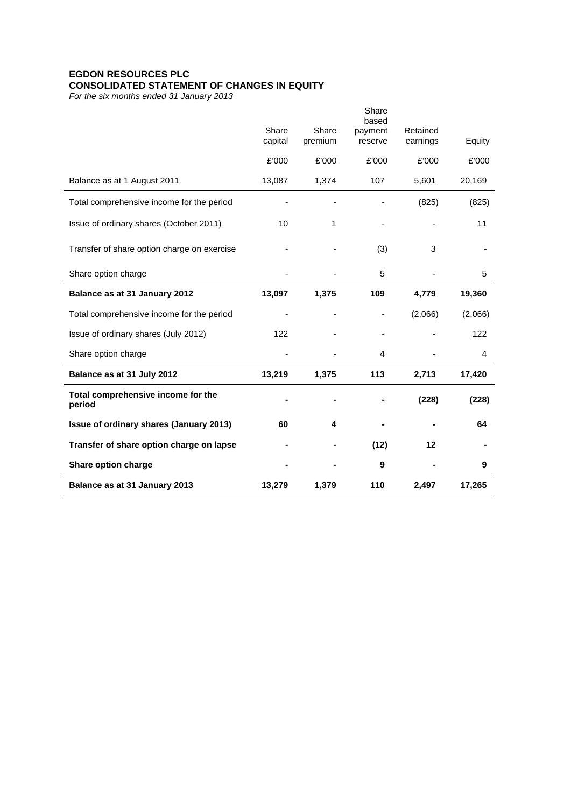# **EGDON RESOURCES PLC CONSOLIDATED STATEMENT OF CHANGES IN EQUITY**

*For the six months ended 31 January 2013* 

|                                              |                  |                  | Share<br>based     |                          |         |
|----------------------------------------------|------------------|------------------|--------------------|--------------------------|---------|
|                                              | Share<br>capital | Share<br>premium | payment<br>reserve | Retained<br>earnings     | Equity  |
|                                              | £'000            | £'000            | £'000              | £'000                    | £'000   |
| Balance as at 1 August 2011                  | 13,087           | 1,374            | 107                | 5,601                    | 20,169  |
| Total comprehensive income for the period    |                  |                  |                    | (825)                    | (825)   |
| Issue of ordinary shares (October 2011)      | 10               | 1                |                    | $\overline{\phantom{a}}$ | 11      |
| Transfer of share option charge on exercise  |                  |                  | (3)                | 3                        |         |
| Share option charge                          |                  |                  | 5                  |                          | 5       |
| Balance as at 31 January 2012                | 13,097           | 1,375            | 109                | 4,779                    | 19,360  |
| Total comprehensive income for the period    |                  |                  |                    | (2,066)                  | (2,066) |
| Issue of ordinary shares (July 2012)         | 122              |                  |                    |                          | 122     |
| Share option charge                          |                  |                  | 4                  |                          | 4       |
| Balance as at 31 July 2012                   | 13,219           | 1,375            | 113                | 2,713                    | 17,420  |
| Total comprehensive income for the<br>period |                  |                  |                    | (228)                    | (228)   |
| Issue of ordinary shares (January 2013)      | 60               | 4                |                    |                          | 64      |
| Transfer of share option charge on lapse     |                  |                  | (12)               | 12                       |         |
| Share option charge                          |                  |                  | 9                  |                          | 9       |
|                                              |                  |                  |                    |                          |         |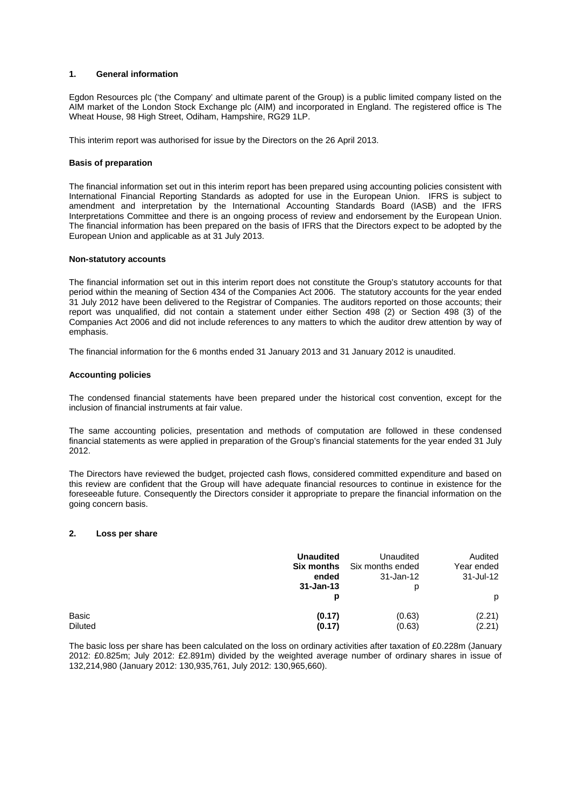### **1. General information**

Egdon Resources plc ('the Company' and ultimate parent of the Group) is a public limited company listed on the AIM market of the London Stock Exchange plc (AIM) and incorporated in England. The registered office is The Wheat House, 98 High Street, Odiham, Hampshire, RG29 1LP.

This interim report was authorised for issue by the Directors on the 26 April 2013.

### **Basis of preparation**

The financial information set out in this interim report has been prepared using accounting policies consistent with International Financial Reporting Standards as adopted for use in the European Union. IFRS is subject to amendment and interpretation by the International Accounting Standards Board (IASB) and the IFRS Interpretations Committee and there is an ongoing process of review and endorsement by the European Union. The financial information has been prepared on the basis of IFRS that the Directors expect to be adopted by the European Union and applicable as at 31 July 2013.

### **Non-statutory accounts**

The financial information set out in this interim report does not constitute the Group's statutory accounts for that period within the meaning of Section 434 of the Companies Act 2006. The statutory accounts for the year ended 31 July 2012 have been delivered to the Registrar of Companies. The auditors reported on those accounts; their report was unqualified, did not contain a statement under either Section 498 (2) or Section 498 (3) of the Companies Act 2006 and did not include references to any matters to which the auditor drew attention by way of emphasis.

The financial information for the 6 months ended 31 January 2013 and 31 January 2012 is unaudited.

### **Accounting policies**

The condensed financial statements have been prepared under the historical cost convention, except for the inclusion of financial instruments at fair value.

The same accounting policies, presentation and methods of computation are followed in these condensed financial statements as were applied in preparation of the Group's financial statements for the year ended 31 July 2012.

The Directors have reviewed the budget, projected cash flows, considered committed expenditure and based on this review are confident that the Group will have adequate financial resources to continue in existence for the foreseeable future. Consequently the Directors consider it appropriate to prepare the financial information on the going concern basis.

### **2. Loss per share**

|                | <b>Unaudited</b>       | Unaudited        | Audited    |
|----------------|------------------------|------------------|------------|
|                | <b>Six months</b>      | Six months ended | Year ended |
|                | ended<br>$31 - Jan-13$ | 31-Jan-12<br>р   | 31-Jul-12  |
|                | р                      |                  | p          |
| Basic          | (0.17)                 | (0.63)           | (2.21)     |
| <b>Diluted</b> | (0.17)                 | (0.63)           | (2.21)     |

The basic loss per share has been calculated on the loss on ordinary activities after taxation of £0.228m (January 2012: £0.825m; July 2012: £2.891m) divided by the weighted average number of ordinary shares in issue of 132,214,980 (January 2012: 130,935,761, July 2012: 130,965,660).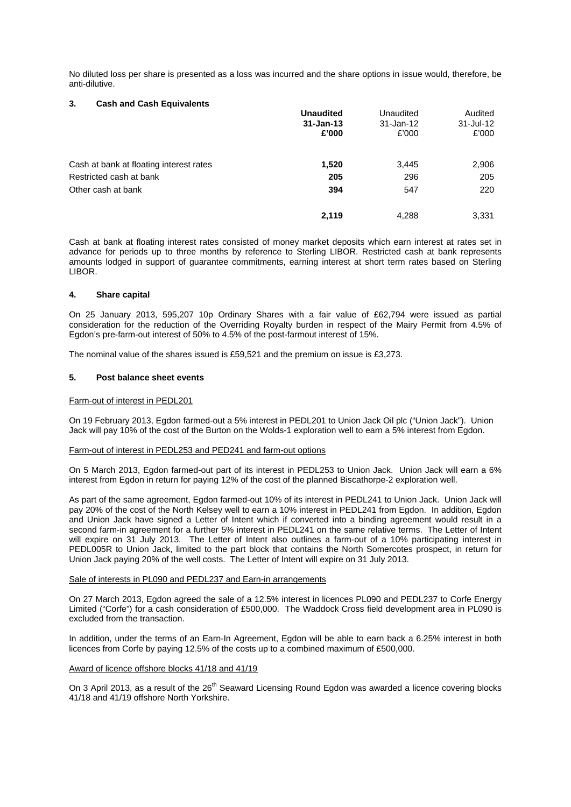No diluted loss per share is presented as a loss was incurred and the share options in issue would, therefore, be anti-dilutive.

### **3. Cash and Cash Equivalents**

|                                         | <b>Unaudited</b><br>$31 - Jan-13$<br>£'000 | Unaudited<br>31-Jan-12<br>£'000 | Audited<br>31-Jul-12<br>£'000 |
|-----------------------------------------|--------------------------------------------|---------------------------------|-------------------------------|
| Cash at bank at floating interest rates | 1,520                                      | 3,445                           | 2,906                         |
| Restricted cash at bank                 | 205                                        | 296                             | 205                           |
| Other cash at bank                      | 394                                        | 547                             | 220                           |
|                                         | 2,119                                      | 4,288                           | 3,331                         |

Cash at bank at floating interest rates consisted of money market deposits which earn interest at rates set in advance for periods up to three months by reference to Sterling LIBOR. Restricted cash at bank represents amounts lodged in support of guarantee commitments, earning interest at short term rates based on Sterling LIBOR.

### **4. Share capital**

On 25 January 2013, 595,207 10p Ordinary Shares with a fair value of £62,794 were issued as partial consideration for the reduction of the Overriding Royalty burden in respect of the Mairy Permit from 4.5% of Egdon's pre-farm-out interest of 50% to 4.5% of the post-farmout interest of 15%.

The nominal value of the shares issued is £59,521 and the premium on issue is £3,273.

### **5. Post balance sheet events**

### Farm-out of interest in PEDL201

On 19 February 2013, Egdon farmed-out a 5% interest in PEDL201 to Union Jack Oil plc ("Union Jack"). Union Jack will pay 10% of the cost of the Burton on the Wolds-1 exploration well to earn a 5% interest from Egdon.

### Farm-out of interest in PEDL253 and PED241 and farm-out options

On 5 March 2013, Egdon farmed-out part of its interest in PEDL253 to Union Jack. Union Jack will earn a 6% interest from Egdon in return for paying 12% of the cost of the planned Biscathorpe-2 exploration well.

As part of the same agreement, Egdon farmed-out 10% of its interest in PEDL241 to Union Jack. Union Jack will pay 20% of the cost of the North Kelsey well to earn a 10% interest in PEDL241 from Egdon. In addition, Egdon and Union Jack have signed a Letter of Intent which if converted into a binding agreement would result in a second farm-in agreement for a further 5% interest in PEDL241 on the same relative terms. The Letter of Intent will expire on 31 July 2013. The Letter of Intent also outlines a farm-out of a 10% participating interest in PEDL005R to Union Jack, limited to the part block that contains the North Somercotes prospect, in return for Union Jack paying 20% of the well costs. The Letter of Intent will expire on 31 July 2013.

### Sale of interests in PL090 and PEDL237 and Earn-in arrangements

On 27 March 2013, Egdon agreed the sale of a 12.5% interest in licences PL090 and PEDL237 to Corfe Energy Limited ("Corfe") for a cash consideration of £500,000. The Waddock Cross field development area in PL090 is excluded from the transaction.

In addition, under the terms of an Earn-In Agreement, Egdon will be able to earn back a 6.25% interest in both licences from Corfe by paying 12.5% of the costs up to a combined maximum of £500,000.

## Award of licence offshore blocks 41/18 and 41/19

On 3 April 2013, as a result of the  $26<sup>th</sup>$  Seaward Licensing Round Egdon was awarded a licence covering blocks 41/18 and 41/19 offshore North Yorkshire.